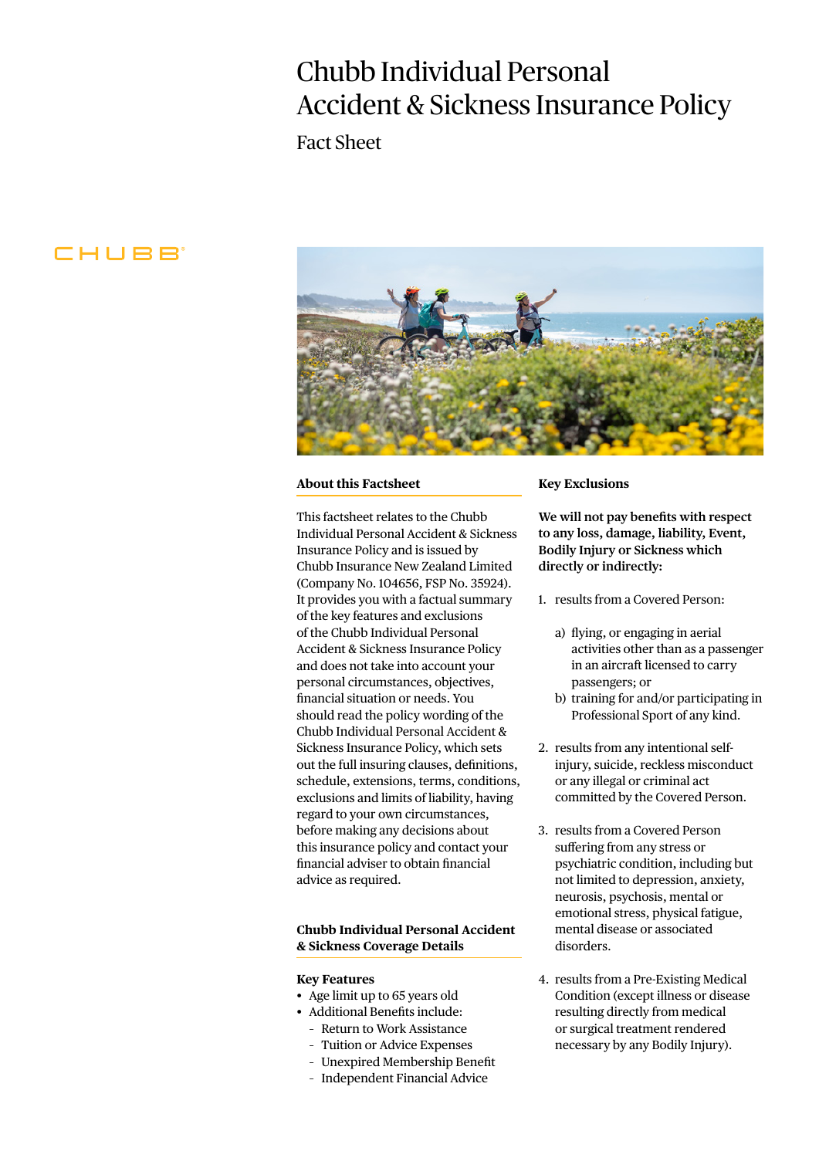# Chubb Individual Personal Accident & Sickness Insurance Policy

Fact Sheet

# CHUBB



## **About this Factsheet**

This factsheet relates to the Chubb Individual Personal Accident & Sickness Insurance Policy and is issued by Chubb Insurance New Zealand Limited (Company No. 104656, FSP No. 35924). It provides you with a factual summary of the key features and exclusions of the Chubb Individual Personal Accident & Sickness Insurance Policy and does not take into account your personal circumstances, objectives, financial situation or needs. You should read the policy wording of the Chubb Individual Personal Accident & Sickness Insurance Policy, which sets out the full insuring clauses, definitions, schedule, extensions, terms, conditions, exclusions and limits of liability, having regard to your own circumstances, before making any decisions about this insurance policy and contact your financial adviser to obtain financial advice as required.

# **Chubb Individual Personal Accident & Sickness Coverage Details**

#### **Key Features**

- Age limit up to 65 years old
- Additional Benefits include:
- Return to Work Assistance
- Tuition or Advice Expenses
- Unexpired Membership Benefit
- Independent Financial Advice

#### **Key Exclusions**

**We will not pay benefits with respect to any loss, damage, liability, Event, Bodily Injury or Sickness which directly or indirectly:**

1. results from a Covered Person:

- a) flying, or engaging in aerial activities other than as a passenger in an aircraft licensed to carry passengers; or
- b) training for and/or participating in Professional Sport of any kind.
- 2. results from any intentional selfinjury, suicide, reckless misconduct or any illegal or criminal act committed by the Covered Person.
- 3. results from a Covered Person suffering from any stress or psychiatric condition, including but not limited to depression, anxiety, neurosis, psychosis, mental or emotional stress, physical fatigue, mental disease or associated disorders.
- 4. results from a Pre-Existing Medical Condition (except illness or disease resulting directly from medical or surgical treatment rendered necessary by any Bodily Injury).